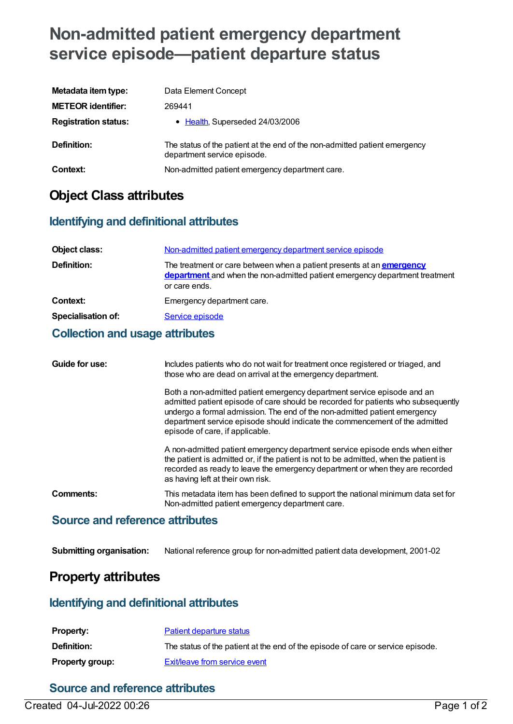# **Non-admitted patient emergency department service episode—patient departure status**

| Metadata item type:         | Data Element Concept                                                                                      |
|-----------------------------|-----------------------------------------------------------------------------------------------------------|
| <b>METEOR identifier:</b>   | 269441                                                                                                    |
| <b>Registration status:</b> | • Health, Superseded 24/03/2006                                                                           |
| <b>Definition:</b>          | The status of the patient at the end of the non-admitted patient emergency<br>department service episode. |
| Context:                    | Non-admitted patient emergency department care.                                                           |

# **Object Class attributes**

### **Identifying and definitional attributes**

| Object class:             | Non-admitted patient emergency department service episode                                                                                                                    |
|---------------------------|------------------------------------------------------------------------------------------------------------------------------------------------------------------------------|
| Definition:               | The treatment or care between when a patient presents at an <b>emergency</b><br>department and when the non-admitted patient emergency department treatment<br>or care ends. |
| Context:                  | Emergency department care.                                                                                                                                                   |
| <b>Specialisation of:</b> | Service episode                                                                                                                                                              |

#### **Collection and usage attributes**

| Guide for use: | Includes patients who do not wait for treatment once registered or triaged, and<br>those who are dead on arrival at the emergency department.                                                                                                                                                                                                               |
|----------------|-------------------------------------------------------------------------------------------------------------------------------------------------------------------------------------------------------------------------------------------------------------------------------------------------------------------------------------------------------------|
|                | Both a non-admitted patient emergency department service episode and an<br>admitted patient episode of care should be recorded for patients who subsequently<br>undergo a formal admission. The end of the non-admitted patient emergency<br>department service episode should indicate the commencement of the admitted<br>episode of care, if applicable. |
|                | A non-admitted patient emergency department service episode ends when either<br>the patient is admitted or, if the patient is not to be admitted, when the patient is<br>recorded as ready to leave the emergency department or when they are recorded<br>as having left at their own risk.                                                                 |
| Comments:      | This metadata item has been defined to support the national minimum data set for<br>Non-admitted patient emergency department care.                                                                                                                                                                                                                         |

### **Source and reference attributes**

**Submitting organisation:** National reference group for non-admitted patient data development, 2001-02

## **Property attributes**

#### **Identifying and definitional attributes**

| Property:              | Patient departure status                                                        |
|------------------------|---------------------------------------------------------------------------------|
| <b>Definition:</b>     | The status of the patient at the end of the episode of care or service episode. |
| <b>Property group:</b> | Exit/leave from service event                                                   |

### **Source and reference attributes**